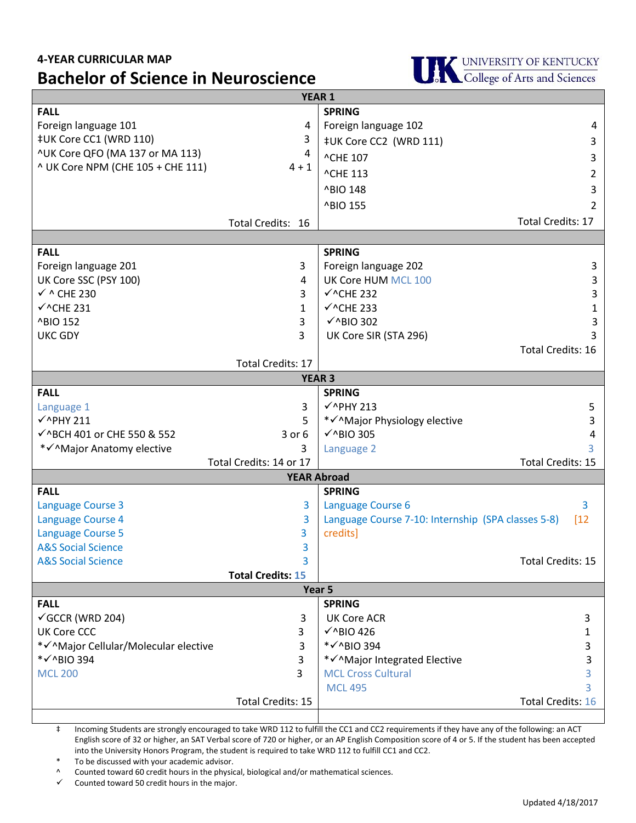## **4-YEAR CURRICULAR MAP Bachelor of Science in Neuroscience**



| <b>YEAR 1</b>                         |                          |                                                    |                          |
|---------------------------------------|--------------------------|----------------------------------------------------|--------------------------|
| <b>FALL</b>                           |                          | <b>SPRING</b>                                      |                          |
| Foreign language 101                  | 4                        | Foreign language 102                               | 4                        |
| ‡UK Core CC1 (WRD 110)                | 3                        | ‡UK Core CC2 (WRD 111)                             | 3                        |
| ^UK Core QFO (MA 137 or MA 113)       | 4                        | ^CHE 107                                           | 3                        |
| ^ UK Core NPM (CHE 105 + CHE 111)     | $4 + 1$                  | <b>^CHE 113</b>                                    | 2                        |
|                                       |                          | ^BIO 148                                           | 3                        |
|                                       |                          | ^BIO 155                                           | 2                        |
|                                       | Total Credits: 16        |                                                    | <b>Total Credits: 17</b> |
|                                       |                          |                                                    |                          |
| <b>FALL</b>                           |                          | <b>SPRING</b>                                      |                          |
| Foreign language 201                  | 3                        | Foreign language 202                               | 3                        |
| UK Core SSC (PSY 100)                 | 4                        | UK Core HUM MCL 100                                | 3                        |
| $\checkmark$ ^ CHE 230                | 3                        | $\checkmark$ ^CHE 232                              | 3                        |
| $\checkmark$ ^CHE 231                 | 1                        | $\checkmark$ ^CHE 233                              | 1                        |
| ^BIO 152                              | 3                        | $\checkmark$ ^BIO 302                              | 3                        |
| <b>UKC GDY</b>                        | 3                        | UK Core SIR (STA 296)                              | 3                        |
|                                       |                          |                                                    | <b>Total Credits: 16</b> |
|                                       | <b>Total Credits: 17</b> |                                                    |                          |
| <b>YEAR 3</b>                         |                          |                                                    |                          |
| <b>FALL</b>                           |                          | <b>SPRING</b>                                      |                          |
| Language 1                            | 3                        | $\checkmark$ ^PHY 213                              | 5                        |
| $\checkmark$ ^PHY 211                 | 5                        | * V^Major Physiology elective                      | 3                        |
| √^BCH 401 or CHE 550 & 552            | $3$ or $6$               | $\checkmark$ ^BIO 305                              | 4                        |
| *√^Major Anatomy elective             | 3                        | Language 2                                         |                          |
|                                       | Total Credits: 14 or 17  |                                                    | <b>Total Credits: 15</b> |
| <b>YEAR Abroad</b>                    |                          |                                                    |                          |
| <b>FALL</b>                           |                          | <b>SPRING</b>                                      |                          |
| <b>Language Course 3</b>              | 3                        | Language Course 6                                  | 3                        |
| Language Course 4                     | 3                        | Language Course 7-10: Internship (SPA classes 5-8) | [12]                     |
| <b>Language Course 5</b>              | 3                        | credits]                                           |                          |
| <b>A&amp;S Social Science</b>         | 3                        |                                                    |                          |
| <b>A&amp;S Social Science</b>         | 3                        |                                                    | Total Credits: 15        |
| <b>Total Credits: 15</b>              |                          |                                                    |                          |
| Year 5                                |                          |                                                    |                          |
| <b>FALL</b>                           |                          | <b>SPRING</b>                                      |                          |
| $\checkmark$ GCCR (WRD 204)           | 3                        | <b>UK Core ACR</b>                                 | 3                        |
| UK Core CCC                           | 3                        | $\checkmark$ ^BIO 426                              | 1                        |
| * v^Major Cellular/Molecular elective | 3                        | * V ^ BIO 394                                      | 3                        |
| * V ^ BIO 394                         | 3                        | * V^Major Integrated Elective                      | 3                        |
| <b>MCL 200</b>                        | 3                        | <b>MCL Cross Cultural</b>                          |                          |
|                                       |                          | <b>MCL 495</b>                                     |                          |
|                                       | Total Credits: 15        |                                                    | <b>Total Credits: 16</b> |

‡ Incoming Students are strongly encouraged to take WRD 112 to fulfill the CC1 and CC2 requirements if they have any of the following: an ACT English score of 32 or higher, an SAT Verbal score of 720 or higher, or an AP English Composition score of 4 or 5. If the student has been accepted into the University Honors Program, the student is required to take WRD 112 to fulfill CC1 and CC2.

To be discussed with your academic advisor.

Counted toward 60 credit hours in the physical, biological and/or mathematical sciences.

Counted toward 50 credit hours in the major.